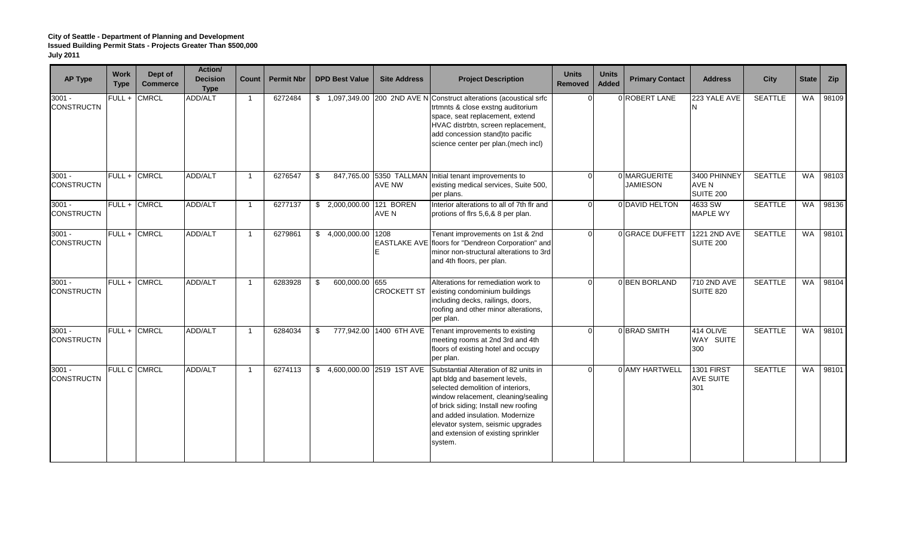| <b>AP Type</b>                | <b>Work</b><br><b>Type</b> | Dept of<br><b>Commerce</b> | Action/<br><b>Decision</b><br><b>Type</b> | Count          | <b>Permit Nbr</b> | <b>DPD Best Value</b>       | <b>Site Address</b>     | <b>Project Description</b>                                                                                                                                                                                                                                                                                           | <b>Units</b><br>Removed | <b>Units</b><br><b>Added</b> | <b>Primary Contact</b>          | <b>Address</b>                               | City           | <b>State</b> | Zip   |
|-------------------------------|----------------------------|----------------------------|-------------------------------------------|----------------|-------------------|-----------------------------|-------------------------|----------------------------------------------------------------------------------------------------------------------------------------------------------------------------------------------------------------------------------------------------------------------------------------------------------------------|-------------------------|------------------------------|---------------------------------|----------------------------------------------|----------------|--------------|-------|
| $3001 -$<br><b>CONSTRUCTN</b> | FULL +                     | <b>CMRCL</b>               | <b>ADD/ALT</b>                            |                | 6272484           |                             |                         | \$1,097,349.00 200 2ND AVE N Construct alterations (acoustical srfc<br>trtmnts & close exstng auditorium<br>space, seat replacement, extend<br>HVAC distrbtn, screen replacement,<br>add concession stand)to pacific<br>science center per plan.(mech incl)                                                          |                         |                              | 0 ROBERT LANE                   | 223 YALE AVE                                 | <b>SEATTLE</b> | <b>WA</b>    | 98109 |
| $3001 -$<br><b>CONSTRUCTN</b> |                            | FULL + CMRCL               | ADD/ALT                                   |                | 6276547           | \$                          | <b>AVE NW</b>           | 847,765.00 5350 TALLMAN Initial tenant improvements to<br>existing medical services, Suite 500,<br>per plans.                                                                                                                                                                                                        | $\Omega$                |                              | 0 MARGUERITE<br><b>JAMIESON</b> | 3400 PHINNEY<br>AVE N<br>SUITE 200           | <b>SEATTLE</b> | <b>WA</b>    | 98103 |
| $3001 -$<br><b>CONSTRUCTN</b> |                            | FULL + CMRCL               | ADD/ALT                                   |                | 6277137           | \$ 2,000,000.00 121 BOREN   | AVE N                   | Interior alterations to all of 7th flr and<br>protions of flrs 5,6,& 8 per plan.                                                                                                                                                                                                                                     |                         |                              | 0 DAVID HELTON                  | 4633 SW<br>MAPLE WY                          | <b>SEATTLE</b> | <b>WA</b>    | 98136 |
| $3001 -$<br><b>CONSTRUCTN</b> |                            | FULL + CMRCL               | ADD/ALT                                   |                | 6279861           | \$4,000,000.00 1208         |                         | Tenant improvements on 1st & 2nd<br>EASTLAKE AVE floors for "Dendreon Corporation" and<br>minor non-structural alterations to 3rd<br>and 4th floors, per plan.                                                                                                                                                       |                         |                              | 0 GRACE DUFFETT                 | 1221 2ND AVE<br>SUITE 200                    | <b>SEATTLE</b> | <b>WA</b>    | 98101 |
| $3001 -$<br><b>CONSTRUCTN</b> |                            | FULL + CMRCL               | <b>ADD/ALT</b>                            |                | 6283928           | 600,000.00 655<br>\$        | <b>CROCKETT ST</b>      | Alterations for remediation work to<br>existing condominium buildings<br>including decks, railings, doors,<br>roofing and other minor alterations,<br>per plan.                                                                                                                                                      |                         |                              | 0 BEN BORLAND                   | 710 2ND AVE<br>SUITE 820                     | <b>SEATTLE</b> | <b>WA</b>    | 98104 |
| $3001 -$<br><b>CONSTRUCTN</b> |                            | FULL + CMRCL               | ADD/ALT                                   |                | 6284034           | \$                          | 777,942.00 1400 6TH AVE | Tenant improvements to existing<br>meeting rooms at 2nd 3rd and 4th<br>floors of existing hotel and occupy<br>per plan.                                                                                                                                                                                              |                         |                              | 0 BRAD SMITH                    | 414 OLIVE<br>WAY SUITE<br>300                | <b>SEATTLE</b> | <b>WA</b>    | 98101 |
| $3001 -$<br><b>CONSTRUCTN</b> |                            | FULL C CMRCL               | ADD/ALT                                   | $\overline{1}$ | 6274113           | \$4,600,000.00 2519 1ST AVE |                         | Substantial Alteration of 82 units in<br>apt bldg and basement levels,<br>selected demolition of interiors,<br>window relacement, cleaning/sealing<br>of brick siding; Install new roofing<br>and added insulation. Modernize<br>elevator system, seismic upgrades<br>and extension of existing sprinkler<br>system. |                         |                              | 0 AMY HARTWELL                  | <b>1301 FIRST</b><br><b>AVE SUITE</b><br>301 | <b>SEATTLE</b> | <b>WA</b>    | 98101 |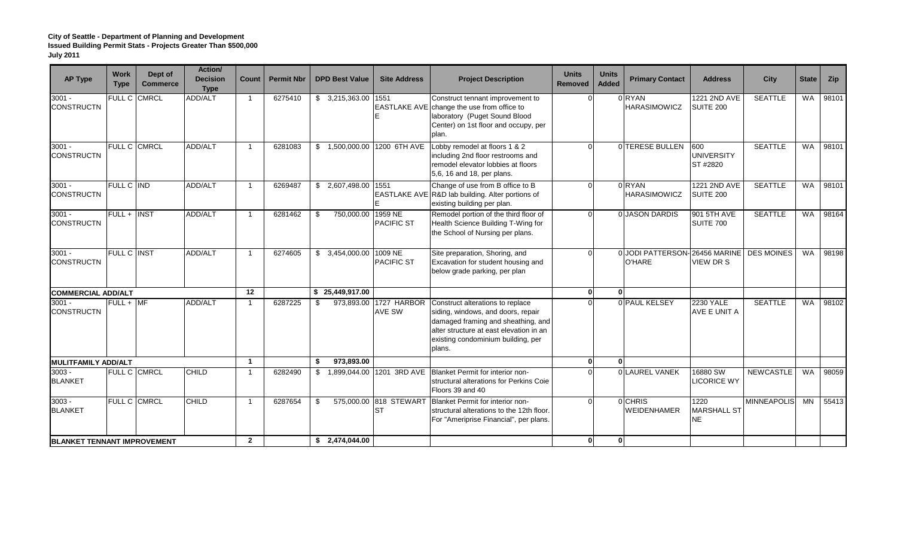| <b>AP Type</b>                     | <b>Work</b><br><b>Type</b> | Dept of<br><b>Commerce</b> | Action/<br><b>Decision</b><br><b>Type</b> | Count                   | <b>Permit Nbr</b> | <b>DPD Best Value</b> | <b>Site Address</b>                 | <b>Project Description</b>                                                                                                                                                                              | <b>Units</b><br>Removed | <b>Units</b><br><b>Added</b> | <b>Primary Contact</b>                         | <b>Address</b>                       | <b>City</b>        | <b>State</b> | <b>Zip</b> |
|------------------------------------|----------------------------|----------------------------|-------------------------------------------|-------------------------|-------------------|-----------------------|-------------------------------------|---------------------------------------------------------------------------------------------------------------------------------------------------------------------------------------------------------|-------------------------|------------------------------|------------------------------------------------|--------------------------------------|--------------------|--------------|------------|
| $3001 -$<br><b>CONSTRUCTN</b>      | <b>FULL C</b>              | <b>CMRCL</b>               | ADD/ALT                                   | $\overline{1}$          | 6275410           | $$3,215,363.00$ 1551  |                                     | Construct tennant improvement to<br>EASTLAKE AVE change the use from office to<br>laboratory (Puget Sound Blood<br>Center) on 1st floor and occupy, per<br>plan.                                        |                         |                              | 0RYAN<br><b>HARASIMOWICZ</b>                   | 1221 2ND AVE<br><b>SUITE 200</b>     | <b>SEATTLE</b>     | <b>WA</b>    | 98101      |
| $3001 -$<br><b>CONSTRUCTN</b>      | FULL C CMRCL               |                            | ADD/ALT                                   |                         | 6281083           |                       | \$ 1,500,000.00 1200 6TH AVE        | Lobby remodel at floors 1 & 2<br>including 2nd floor restrooms and<br>remodel elevator lobbies at floors<br>5,6, 16 and 18, per plans.                                                                  |                         |                              | 0 TERESE BULLEN                                | 600<br><b>UNIVERSITY</b><br>ST #2820 | <b>SEATTLE</b>     | <b>WA</b>    | 98101      |
| $3001 -$<br><b>CONSTRUCTN</b>      | FULL C IND                 |                            | ADD/ALT                                   | $\overline{\mathbf{1}}$ | 6269487           | \$2,607,498.00        | 1551                                | Change of use from B office to B<br>EASTLAKE AVE R&D lab building. Alter portions of<br>existing building per plan.                                                                                     |                         |                              | 0RYAN<br><b>HARASIMOWICZ</b>                   | 1221 2ND AVE<br><b>SUITE 200</b>     | <b>SEATTLE</b>     | <b>WA</b>    | 98101      |
| $3001 -$<br><b>CONSTRUCTN</b>      | $FULL +$                   | <b>INST</b>                | ADD/ALT                                   |                         | 6281462           | 750,000.00<br>-\$     | 1959 NE<br><b>PACIFIC ST</b>        | Remodel portion of the third floor of<br>Health Science Building T-Wing for<br>the School of Nursing per plans.                                                                                         |                         |                              | 0 JASON DARDIS                                 | 901 5TH AVE<br><b>SUITE 700</b>      | <b>SEATTLE</b>     | <b>WA</b>    | 98164      |
| $3001 -$<br><b>CONSTRUCTN</b>      | <b>FULL C INST</b>         |                            | ADD/ALT                                   | $\overline{1}$          | 6274605           | \$3,454,000.00        | 1009 NE<br><b>PACIFIC ST</b>        | Site preparation, Shoring, and<br>Excavation for student housing and<br>below grade parking, per plan                                                                                                   |                         |                              | 0 JODI PATTERSON-26456 MARINE<br><b>O'HARE</b> | <b>VIEW DR S</b>                     | <b>DES MOINES</b>  | <b>WA</b>    | 98198      |
| <b>COMMERCIAL ADD/ALT</b>          |                            |                            |                                           | 12                      |                   | \$25,449,917.00       |                                     |                                                                                                                                                                                                         | $\Omega$                | $\Omega$                     |                                                |                                      |                    |              |            |
| $3001 -$<br><b>CONSTRUCTN</b>      | $FULL + MF$                |                            | <b>ADD/ALT</b>                            |                         | 6287225           | \$                    | 973,893.00 1727 HARBOR<br>AVE SW    | Construct alterations to replace<br>siding, windows, and doors, repair<br>damaged framing and sheathing, and<br>alter structure at east elevation in an<br>existing condominium building, per<br>plans. |                         |                              | 0 PAUL KELSEY                                  | <b>2230 YALE</b><br>AVE E UNIT A     | <b>SEATTLE</b>     | <b>WA</b>    | 98102      |
| <b>MULITFAMILY ADD/ALT</b>         |                            |                            |                                           |                         |                   | 973.893.00<br>\$      |                                     |                                                                                                                                                                                                         | $\Omega$                | 0                            |                                                |                                      |                    |              |            |
| $3003 -$<br><b>BLANKET</b>         | FULL C CMRCL               |                            | CHILD                                     | $\overline{\mathbf{1}}$ | 6282490           | \$                    | 1,899,044.00 1201 3RD AVE           | <b>Blanket Permit for interior non-</b><br>structural alterations for Perkins Coie<br>Floors 39 and 40                                                                                                  |                         |                              | 0 LAUREL VANEK                                 | 16880 SW<br><b>ICORICE WY</b>        | <b>NEWCASTLE</b>   | <b>WA</b>    | 98059      |
| $3003 -$<br><b>BLANKET</b>         | FULL C CMRCL               |                            | <b>CHILD</b>                              | $\overline{1}$          | 6287654           | \$                    | 575,000.00 818 STEWART<br><b>ST</b> | Blanket Permit for interior non-<br>structural alterations to the 12th floor.<br>For "Ameriprise Financial", per plans.                                                                                 |                         |                              | 0 CHRIS<br><b>WEIDENHAMER</b>                  | 1220<br><b>MARSHALL ST</b><br>NE     | <b>MINNEAPOLIS</b> | MN           | 55413      |
| <b>BLANKET TENNANT IMPROVEMENT</b> |                            |                            |                                           | $\overline{2}$          |                   | \$2,474,044.00        |                                     |                                                                                                                                                                                                         | n                       | $\bf{0}$                     |                                                |                                      |                    |              |            |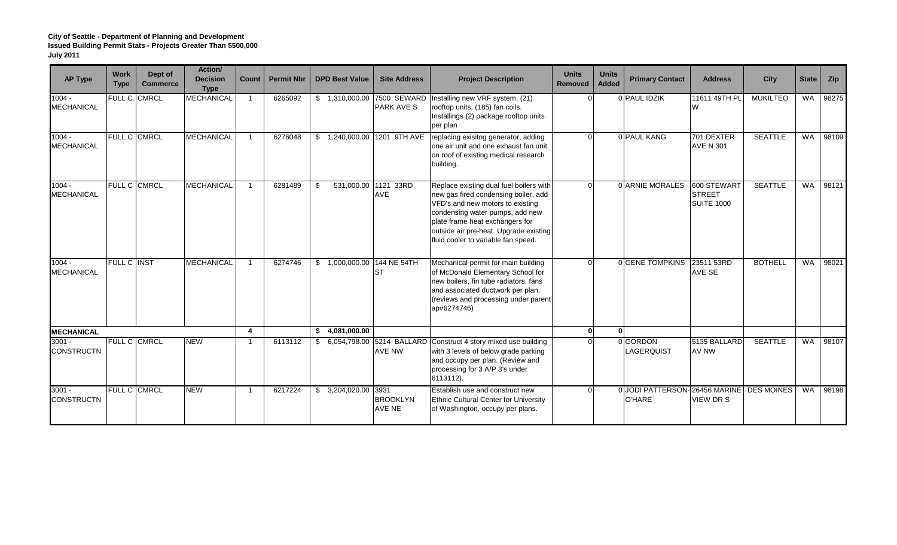| <b>AP Type</b>                | <b>Work</b><br><b>Type</b> | Dept of<br><b>Commerce</b> | Action/<br><b>Decision</b><br><b>Type</b> | Count | <b>Permit Nbr</b> | <b>DPD Best Value</b>      | <b>Site Address</b>                              | <b>Project Description</b>                                                                                                                                                                                                                                                 | <b>Units</b><br>Removed | <b>Units</b><br><b>Added</b> | <b>Primary Contact</b>                                      | <b>Address</b>                                    | City            | <b>State</b> | <b>Zip</b> |
|-------------------------------|----------------------------|----------------------------|-------------------------------------------|-------|-------------------|----------------------------|--------------------------------------------------|----------------------------------------------------------------------------------------------------------------------------------------------------------------------------------------------------------------------------------------------------------------------------|-------------------------|------------------------------|-------------------------------------------------------------|---------------------------------------------------|-----------------|--------------|------------|
| $1004 -$<br><b>MECHANICAL</b> |                            | FULL C CMRCL               | <b>MECHANICAL</b>                         |       | 6265092           |                            | \$ 1,310,000.00 7500 SEWARD<br><b>PARK AVE S</b> | Installing new VRF system, (21)<br>rooftop units, (185) fan coils.<br>Installings (2) package rooftop units<br>per plan                                                                                                                                                    |                         |                              | 0 PAUL IDZIK                                                | 11611 49TH PL<br>W                                | <b>MUKILTEO</b> | <b>WA</b>    | 98275      |
| $1004 -$<br>MECHANICAL        | FULL C CMRCL               |                            | <b>MECHANICAL</b>                         |       | 6276048           | \$                         | 1,240,000.00 1201 9TH AVE                        | replacing exisitng generator, adding<br>one air unit and one exhaust fan unit<br>on roof of existing medical research<br>building.                                                                                                                                         | $\Omega$                |                              | 0 PAUL KANG                                                 | 701 DEXTER<br><b>AVE N 301</b>                    | <b>SEATTLE</b>  | <b>WA</b>    | 98109      |
| $1004 -$<br><b>MECHANICAL</b> | FULL C CMRCL               |                            | <b>MECHANICAL</b>                         |       | 6281489           | \$                         | 531,000.00 1121 33RD<br>AVE                      | Replace existing dual fuel boilers with<br>new gas fired condensing boiler, add<br>VFD's and new motors to existing<br>condensing water pumps, add new<br>plate frame heat exchangers for<br>outside air pre-heat. Upgrade existing<br>fluid cooler to variable fan speed. |                         |                              | 0 ARNIE MORALES                                             | 600 STEWART<br><b>STREET</b><br><b>SUITE 1000</b> | <b>SEATTLE</b>  | <b>WA</b>    | 98121      |
| $1004 -$<br><b>MECHANICAL</b> | <b>FULL C INST</b>         |                            | <b>MECHANICAL</b>                         |       | 6274746           | \$1,000,000.00 144 NE 54TH | <b>ST</b>                                        | Mechanical permit for main building<br>of McDonald Elementary School for<br>new boilers, fin tube radiators, fans<br>and associated ductwork per plan.<br>(reviews and processing under parent<br>ap#6274746)                                                              |                         |                              | <b>OIGENE TOMPKINS</b>                                      | 23511 53RD<br><b>AVE SE</b>                       | <b>BOTHELL</b>  | <b>WA</b>    | 98021      |
| <b>MECHANICAL</b>             |                            |                            |                                           | 4     |                   | \$4,081,000.00             |                                                  |                                                                                                                                                                                                                                                                            | $\Omega$                | <sup>0</sup>                 |                                                             |                                                   |                 |              |            |
| $3001 -$<br><b>CONSTRUCTN</b> | FULL C CMRCL               |                            | <b>NEW</b>                                |       | 6113112           |                            | <b>AVE NW</b>                                    | \$ 6,054,798.00 5214 BALLARD Construct 4 story mixed use building<br>with 3 levels of below grade parking<br>and occupy per plan. (Review and<br>processing for 3 A/P 3's under<br>6113112).                                                                               |                         |                              | 0 GORDON<br>LAGERQUIST                                      | 5135 BALLARD<br>AV NW                             | <b>SEATTLE</b>  | <b>WA</b>    | 98107      |
| $3001 -$<br><b>CONSTRUCTN</b> | <b>FULL C CMRCL</b>        |                            | <b>NEW</b>                                |       | 6217224           | \$3,204,020.00             | 3931<br><b>BROOKLYN</b><br><b>AVE NE</b>         | Establish use and construct new<br>Ethnic Cultural Center for University<br>of Washington, occupy per plans.                                                                                                                                                               | $\cap$                  |                              | 0 JODI PATTERSON-26456 MARINE   DES MOINES<br><b>O'HARE</b> | VIEW DR S                                         |                 | <b>WA</b>    | 98198      |